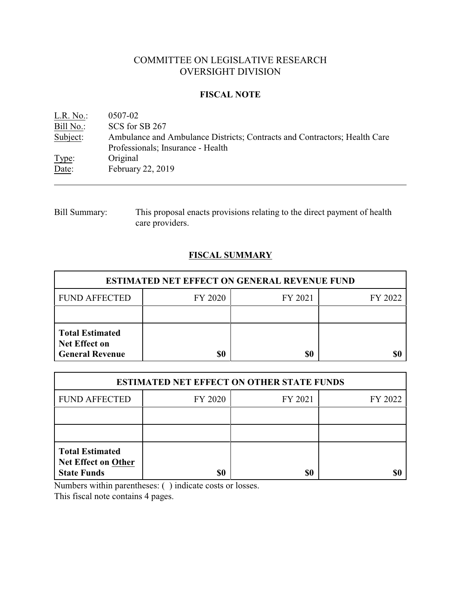# COMMITTEE ON LEGISLATIVE RESEARCH OVERSIGHT DIVISION

### **FISCAL NOTE**

| L.R. No.: | 0507-02                                                                   |
|-----------|---------------------------------------------------------------------------|
| Bill No.: | SCS for SB 267                                                            |
| Subject:  | Ambulance and Ambulance Districts; Contracts and Contractors; Health Care |
|           | Professionals; Insurance - Health                                         |
| Type:     | Original                                                                  |
| Date:     | February 22, 2019                                                         |

Bill Summary: This proposal enacts provisions relating to the direct payment of health care providers.

## **FISCAL SUMMARY**

| <b>ESTIMATED NET EFFECT ON GENERAL REVENUE FUND</b>                      |         |         |         |  |
|--------------------------------------------------------------------------|---------|---------|---------|--|
| <b>FUND AFFECTED</b>                                                     | FY 2020 | FY 2021 | FY 2022 |  |
|                                                                          |         |         |         |  |
| <b>Total Estimated</b><br><b>Net Effect on</b><br><b>General Revenue</b> | \$0     | \$0     |         |  |

| <b>ESTIMATED NET EFFECT ON OTHER STATE FUNDS</b>                           |         |         |         |  |  |
|----------------------------------------------------------------------------|---------|---------|---------|--|--|
| <b>FUND AFFECTED</b>                                                       | FY 2020 | FY 2021 | FY 2022 |  |  |
|                                                                            |         |         |         |  |  |
|                                                                            |         |         |         |  |  |
| <b>Total Estimated</b><br><b>Net Effect on Other</b><br><b>State Funds</b> | \$0     | \$0     |         |  |  |

Numbers within parentheses: ( ) indicate costs or losses.

This fiscal note contains 4 pages.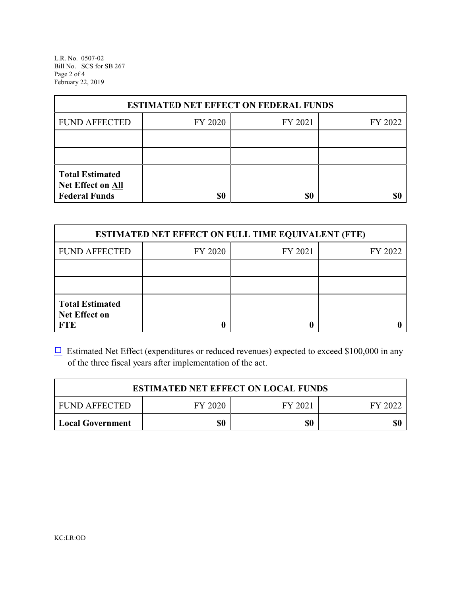L.R. No. 0507-02 Bill No. SCS for SB 267 Page 2 of 4 February 22, 2019

| <b>ESTIMATED NET EFFECT ON FEDERAL FUNDS</b>                        |         |         |         |  |  |
|---------------------------------------------------------------------|---------|---------|---------|--|--|
| <b>FUND AFFECTED</b>                                                | FY 2020 | FY 2021 | FY 2022 |  |  |
|                                                                     |         |         |         |  |  |
|                                                                     |         |         |         |  |  |
| <b>Total Estimated</b><br>Net Effect on All<br><b>Federal Funds</b> | \$0     | \$0     |         |  |  |

| <b>ESTIMATED NET EFFECT ON FULL TIME EQUIVALENT (FTE)</b>    |         |         |         |  |
|--------------------------------------------------------------|---------|---------|---------|--|
| <b>FUND AFFECTED</b>                                         | FY 2020 | FY 2021 | FY 2022 |  |
|                                                              |         |         |         |  |
|                                                              |         |         |         |  |
| <b>Total Estimated</b><br><b>Net Effect on</b><br><b>FTE</b> |         |         |         |  |

 $\Box$  Estimated Net Effect (expenditures or reduced revenues) expected to exceed \$100,000 in any of the three fiscal years after implementation of the act.

| <b>ESTIMATED NET EFFECT ON LOCAL FUNDS</b> |         |         |         |  |
|--------------------------------------------|---------|---------|---------|--|
| <b>FUND AFFECTED</b>                       | FY 2020 | FY 2021 | FY 2022 |  |
| <b>Local Government</b>                    | \$0     | \$0     | \$0     |  |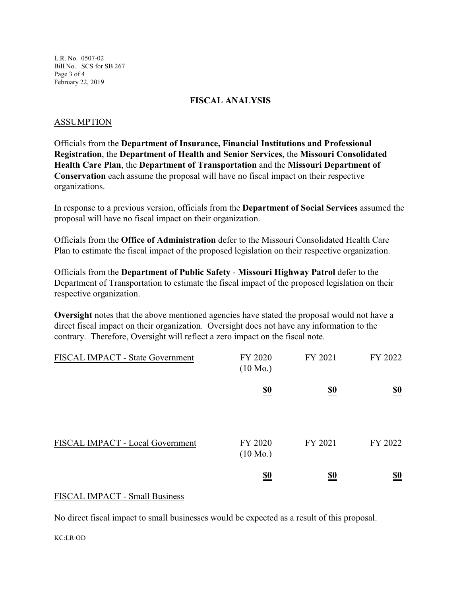L.R. No. 0507-02 Bill No. SCS for SB 267 Page 3 of 4 February 22, 2019

#### **FISCAL ANALYSIS**

### ASSUMPTION

Officials from the **Department of Insurance, Financial Institutions and Professional Registration**, the **Department of Health and Senior Services**, the **Missouri Consolidated Health Care Plan**, the **Department of Transportation** and the **Missouri Department of Conservation** each assume the proposal will have no fiscal impact on their respective organizations.

In response to a previous version, officials from the **Department of Social Services** assumed the proposal will have no fiscal impact on their organization.

Officials from the **Office of Administration** defer to the Missouri Consolidated Health Care Plan to estimate the fiscal impact of the proposed legislation on their respective organization.

Officials from the **Department of Public Safety** - **Missouri Highway Patrol** defer to the Department of Transportation to estimate the fiscal impact of the proposed legislation on their respective organization.

**Oversight** notes that the above mentioned agencies have stated the proposal would not have a direct fiscal impact on their organization. Oversight does not have any information to the contrary. Therefore, Oversight will reflect a zero impact on the fiscal note.

| FISCAL IMPACT - State Government | FY 2020<br>$(10 \text{ Mo.})$ | FY 2021    | FY 2022                       |
|----------------------------------|-------------------------------|------------|-------------------------------|
|                                  | <u>\$0</u>                    | <u>\$0</u> | $\underline{\underline{\$0}}$ |
| FISCAL IMPACT - Local Government | FY 2020<br>$(10 \text{ Mo.})$ | FY 2021    | FY 2022                       |
|                                  | <u>\$0</u>                    | <u>\$0</u> | $\underline{\underline{\$0}}$ |

#### FISCAL IMPACT - Small Business

No direct fiscal impact to small businesses would be expected as a result of this proposal.

KC:LR:OD